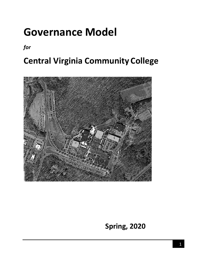# **Governance Model**

*for*

## **Central Virginia Community College**



**Spring, 2020**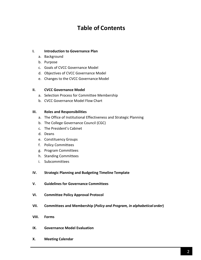## **Table of Contents**

### **I. Introduction to Governance Plan**

- a. Background
- b. Purpose
- c. Goals of CVCC Governance Model
- d. Objectives of CVCC Governance Model
- e. Changes to the CVCC Governance Model

#### **II. CVCC Governance Model**

- a. Selection Process for Committee Membership
- b. CVCC Governance Model Flow Chart

#### **III. Roles and Responsibilities**

- a. The Office of Institutional Effectiveness and Strategic Planning
- b. The College Governance Council (CGC)
- c. The President's Cabinet
- d. Deans
- e. Constituency Groups
- f. Policy Committees
- g. Program Committees
- h. Standing Committees
- i. Subcommittees

#### **IV. Strategic Planning and Budgeting Timeline Template**

- **V. Guidelines for Governance Committees**
- **VI. Committee Policy Approval Protocol**
- **VII. Committees and Membership (***Policy and Program, in alphabetical order***)**
- **VIII. Forms**
- **IX. Governance Model Evaluation**
- **X. Meeting Calendar**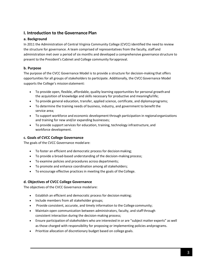## **I. Introduction to the Governance Plan**

## **a. Background**

In 2011 the Administration of Central Virginia Community College (CVCC) identified the need to review the structure for governance. A team comprised of representatives from the faculty, staffand administration met over a period of six months and developed a comprehensive governance structure to present to the President's Cabinet and College community forapproval.

## **b. Purpose**

The purpose of the CVCC Governance Model is to provide a structure for decision-making that offers opportunities for all groups of stakeholders to participate. Additionally, the CVCCGovernance Model supports the College's mission statement:

- To provide open, flexible, affordable, quality learning opportunities for personal growthand the acquisition of knowledge and skills necessary for productive and meaningfullife;
- To provide general education, transfer, applied science, certificate, and diplomaprograms;
- To determine the training needs of business, industry, and government to benefit the service area;
- To support workforce and economic development through participation in regionalorganizations and training for new and/or expanding businesses;
- To provide support services for education, training, technology infrastructure, and workforce development.

## **c. Goals of CVCC College Governance**

The goals of the CVCC Governance modelare:

- To foster an efficient and democratic process for decision making;
- To provide a broad-based understanding of the decision-making process;
- To examine policies and procedures across departments;
- To promote and enhance coordination among all stakeholders;
- To encourage effective practices in meeting the goals of the College.

## **d. Objectives of CVCC College Governance**

The objectives of the CVCC Governance modelare:

- Establish an efficient and democratic process for decision making;
- Include members from all stakeholder groups;
- Provide consistent, accurate, and timely information to the College community;
- Maintain open communication between administrators, faculty, and staffthrough consistent interaction during the decision-making process;
- Ensure participation of stakeholders who are interested in or are "subject matter experts" as well as those charged with responsibility for proposing or implementing policies andprograms.
- Prioritize allocation of discretionary budget based on college goals.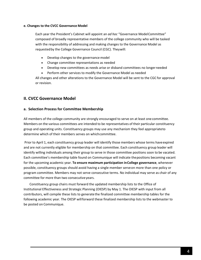#### **e. Changes to the CVCC Governance Model**

Each year the President's Cabinet will appoint an *ad hoc* "Governance ModelCommittee" composed of broadly representative members of the college community who will be tasked with the responsibility of addressing and making changes to the Governance Model as requestedby the College Governance Council (CGC). Theywill:

- Develop changes to the governance model
- Change committee representations as needed
- Develop new committees as needs arise or disband committees no longerneeded
- Perform other services to modify the Governance Model as needed

All changes and other alterations to the Governance Model will be sent to the CGC for approval or revision.

## **II. CVCC Governance Model**

#### **a. Selection Process for Committee Membership**

All members of the college community are strongly encouraged to serve on at least one committee. Members on the various committees are intended to be representatives of their particular constituency group and operating units. Constituency groups may use any mechanism they feel appropriateto determine which of their members serves on whichcommittee.

Prior to April 1, each constituency group leader will identify those members whose terms haveexpired and are not currently eligible for membership on that committee. Each constituency group leader will identify willing individuals among their group to serve in those committee positions soon to be vacated. Each committee's membership table found on Communique will indicate thepositions becoming vacant for the upcoming academic year. **To ensure maximum participation inCollege governance**, whenever possible, constituency groups should avoid having a single member serveon more than one policy or program committee. Members may not serve consecutive terms. No individual may serve as chair of any committee for more than two consecutiveyears.

Constituency group chairs must forward the updated membership lists to the Office of Institutional Effectiveness and Strategic Planning (OIESP) by May 1. The OIESP with input from all contributors, will compile these lists to generatethe finalized committee membership tables for the following academic year. The OIESP willforward these finalized membership lists to the webmaster to be posted on Communique.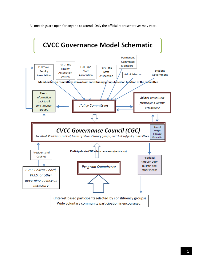All meetings are open for anyone to attend. Only the official representativesmay vote.

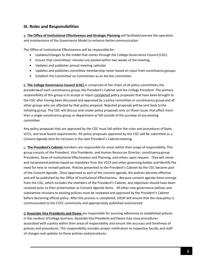## **III. Roles and Responsibilities**

a. **The Office of Institutional Effectiveness and Strategic Planning** will facilitate/oversee the operation and maintenance of the Governance Model to enhance bettercommunication.

The Office of Institutional Effectiveness will be responsiblefor:

- Updates/changes to the model that comes through the College Governance Council (CGC).
- Ensure that committees' minutes are posted within two weeks of the meeting.
- Updates and publishes annual meeting calendar
- Updates and publishes committee membership roster based on input from constituency groups.
- Establish the Committee on Committees as an Ad Hoc committee.

b. **The College Governance Council (CGC)** is comprised of the chairs of all policy committees,the presidents of each constituency group, the President's Cabinet and the College President. The primary responsibility of this group is to accept or reject completed policy proposals that have been brought to the CGC after having been discussed and approved by a policy committee or constituency group and all other groups who are affected by that policy proposal. Rejected proposals will be sent back tothe initiating group. The CGC will discuss and create policy proposals only on those issues that affect more than a single constituency group or department or fall outside of the purview of any existing committee.

Any policy proposals that are approved by the CGC must fall within the rules and procedures of State, VCCS, and local board requirements. All policy proposals approved by the CGC will be submitted as a *Consent Agenda Item* for inclusion in the next President's Cabinet meeting.

c. **The President's Cabinet** members are responsible for areas within their scope of responsibility.This group consists of the President, Vice Presidents, and Human Resources Director, constituencygroup Presidents, Dean of Institutional Effectiveness and Planning, and others upon request. They will revise and recommend policies based on mandates from the VCCS and other governing bodies and identify the need for new or revised policies. Policies presented to the President's Cabinet by the CGC become part of the *Consent Agenda*. Once approved as part of the consent agenda, the policies become effective and will be published by the Office of Institutional Effectiveness. Because consent agenda items emerge from the CGC, which includes the members of the President's Cabinet, any objectives should have been resolved prior to their presentation as Consent Agenda items. All other new governance policies and substantive revisions to existing policies must be reviewed and approved by the President's Cabinet before becoming official policy. Afterthis process is completed, OIESP will ensure that the new policy is communicated to the CVCC community and appropriately published and enacted.

d.**Associate Vice Presidents and Deans** are responsible for assuring adherence to established policies in the conduct ofCollege business. Associate Vice Presidents and Deans may issue procedures associated with a policy within their areas of responsibility and ensure the accuracy and timeliness of policies and procedures. This responsibility includes proper notification to respective faculty and staff of changes and updates to these policies andprocedures.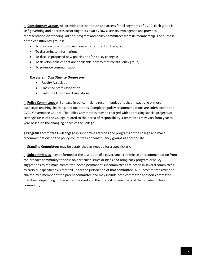e. **Constituency Groups** will provide representation and access for all segments of CVCC. Each group is self-governing and operates according to its own by-laws, sets its own agenda and provides representation on standing, ad hoc, program and policy committees from its membership. The purpose of the constituency group is:

- To create a forum to discuss concerns pertinent to the group;
- To disseminate information;
- To discuss proposed new policies and/or policy changes;
- To develop policies that are applicable only to that constituency group;
- To promote communication

#### *The current Constituency Groups are:*

- Faculty Association
- Classified Staff Association
- Part-time Employee Associations

f. **Policy Committees** will engage in policy-making recommendations that impact one ormore aspects of teaching, learning, and operations. Completed policy recommendations are submitted to the CVCC Governance Council. The Policy Committees may be charged with addressing special projects,or strategic tasks of the College related to their area of responsibility. Committees may vary from yearto year based on the changing needs of theCollege.

g.**Program Committees** will engage in supportive activities and programs of the college and make recommendations to the policy committees or constituency groups as appropriate.

h. **Standing Committees** may be established as needed for a specific task.

i. **Subcommittees** may be formed at the discretion of a governance committee or recommendation from the broader community to focus on particular issues or ideas and bring back program orpolicy suggestions to the main committee. Some permanent subcommittees are noted in several committees to carry out specific tasks that fall under the jurisdiction of that committee. All subcommitteesmust be chaired by a member of the parent committee and may include both committee and non-committee members, depending on the issues involved and the interests of members of the broader college community.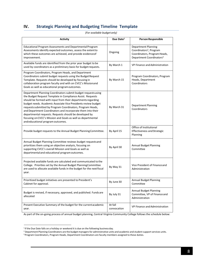## **IV. Strategic Planning and Budgeting Timeline Template**

| <b>Activity</b>                                                                                                                                                                                                                                                                                                                                                                                                                                                                                                                                           | Due Date <sup>1</sup>  | <b>Person Responsible</b>                                                                                                          |
|-----------------------------------------------------------------------------------------------------------------------------------------------------------------------------------------------------------------------------------------------------------------------------------------------------------------------------------------------------------------------------------------------------------------------------------------------------------------------------------------------------------------------------------------------------------|------------------------|------------------------------------------------------------------------------------------------------------------------------------|
| Educational Program Assessments and Departmental Program<br>Assessments identify expected outcomes, assess the extent to<br>which these outcomes are achieved, and provide evidence of<br>improvement.                                                                                                                                                                                                                                                                                                                                                    | Ongoing                | Department Planning<br>Coordinators <sup>2</sup> , Program<br>Coordinators, Program Heads,<br>Department Coordinators <sup>3</sup> |
| Available funds are identified from the prior year budget to be<br>used by coordinators as a preliminary basis for budget requests.                                                                                                                                                                                                                                                                                                                                                                                                                       | By March 1             | VP Finance and Administration                                                                                                      |
| Program Coordinators, Program Heads, and Department<br>Coordinators submit budget requests using the Budget Request<br>Template. Requests should be developed by focusing in<br>collaboration program faculty and with on CVCC's Missionand<br>Goals as well as educational program outcomes.                                                                                                                                                                                                                                                             | By March 15            | Program Coordinators, Program<br>Heads, Department<br>Coordinators                                                                 |
| Department Planning Coordinators submit budget requests using<br>the Budget Request Template in Compliance Assist. Requests<br>should be formed with input from their departments regarding<br>budget needs. Academic Associate Vice Presidents review budget<br>requests submitted by Program Coordinators, Program Heads,<br>and Department Coordinators and incorporate them into their<br>departmental requests. Requests should be developed by<br>focusing on CVCC's Mission and Goals as well as departmental<br>and educational program outcomes. | By March 31            | Department Planning<br>Coordinators                                                                                                |
| Provide budget requests to the Annual Budget Planning Committee.                                                                                                                                                                                                                                                                                                                                                                                                                                                                                          | By April 15            | Office of Institutional<br><b>Effectiveness and Strategic</b><br>Planning                                                          |
| Annual Budget Planning Committee reviews budget requestsand<br>prioritizes them using an objective analysis, focusing on<br>supporting CVCC's overall Mission and Goals as well as<br>departmental and educational program outcomes.                                                                                                                                                                                                                                                                                                                      | By April 30            | <b>Annual Budget Planning</b><br>Committee                                                                                         |
| Projected available funds are calculated and communicated to the<br>College. Priorities set by the Annual Budget PlanningCommittee<br>are used to allocate available funds in the budget for the next fiscal<br>year.                                                                                                                                                                                                                                                                                                                                     | By May 31              | Vice President of Finance and<br>Administration                                                                                    |
| Prioritized budget initiatives are presented to President's<br>Cabinet for approval.                                                                                                                                                                                                                                                                                                                                                                                                                                                                      | By June 30             | <b>Annual Budget Planning</b><br>Committee                                                                                         |
| Budget is revised, if necessary, approved, and published. Funds are<br>allocated                                                                                                                                                                                                                                                                                                                                                                                                                                                                          | By July 31             | <b>Annual Budget Planning</b><br>Committee, VP of Finance and<br>Administration                                                    |
| Present Executive Summary of the budget for the current academic<br>year.                                                                                                                                                                                                                                                                                                                                                                                                                                                                                 | At fall<br>convocation | VP Finance and Administration                                                                                                      |

*(For available budget only)*

As part of the on-going process of annual budget planning, Central Virginia Community College follows the schedule below:

<span id="page-7-0"></span><sup>&</sup>lt;sup>1</sup> If the Due Date falls on a holiday or weekend it is due on the following business day.

<span id="page-7-2"></span><span id="page-7-1"></span><sup>&</sup>lt;sup>2</sup> Department Planning Coordinators are the budget managers for administrative units and academic and student support services units.

<sup>3</sup> Program Coordinators, Program Heads, Department Coordinators are faculty members assigned to these duties.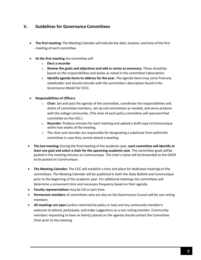## **V. Guidelines for Governance Committees**

- **The first meeting:** The Meeting Calendar will indicate the date, location, and time of the first meeting of each committee.
- **At the first meeting** the committee will
	- o **Elect a recorder**
	- o **Review the goals and objectives and add or revise as necessary.** These should be based on the responsibilities and duties as noted in the committee'sdescription.
	- o **Identify agenda items to address for the year.** The agenda items may come fromany stakeholder and should coincide with the committee's description found inthe Governance Model for CVCC.
- **Responsibilities of Officers**
	- o **Chair:** Set and post the agenda of the committee, coordinate the responsibilities and duties of committee members, set up sub-committees as needed, and serve asliaison with the college community. (The chair of each policy committee will representthat committee on the CGC.)
	- o **Recorder**: Produce minutes for each meeting and upload a draft copy toCommunique within two weeks of the meeting.
	- $\circ$  The chair and recorder are responsible for designating a substitute from within the committee in case they cannot attend a meeting.
- **The last meeting:** During the final meeting of the academic year, **each committee will identify at least one goal and select a chair for the upcoming academic year**. The committee goals willbe posted in the meeting minutes on Communique. The chair's name will be forwarded to the OIESP to be posted on Communique.
- **The Meeting Calendar:** The CGC will establish a time and place for dedicated meetings of the committees. The Meeting Calendar will be published in both the *Daily Bulletin*and *Communique* prior to the beginning of the academic year. For additional meetings the committees will determine a convenient time and necessary frequency based on their agenda.
- **Faculty representatives** may be full or part-time.
- **Permanent members** of committees who are also on the Governance Council will be non-voting members.
- **All meetings are open** (unless restricted by policy or law) and any community memberis welcome to attend, participate, and make suggestions as a non-voting member. Community members requesting to have an item(s) placed on the agenda should contact the Committee Chair prior to the meeting.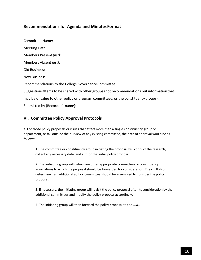## **Recommendations for Agenda and Minutes Format**

Committee Name: Meeting Date: Members Present *(list):* Members Absent *(list):* Old Business: New Business: Recommendations to the College Governance Committee: Suggestions/Items to be shared with other groups (not recommendations but informationthat may be of value to other policy or program committees, or the constituency groups): Submitted by (Recorder's name):

## **VI. Committee Policy Approval Protocols**

a. For those policy proposals or issues that affect more than a single constituency group or department, or fall outside the purview of any existing committee, the path of approval would be as follows:

1. The committee or constituency group initiating the proposal will conduct the research, collect any necessary data, and author the initial policy proposal.

2. The initiating group will determine other appropriate committees or constituency associations to which the proposal should be forwarded for consideration. They will also determine ifan additional ad hoc committee should be assembled to consider the policy proposal.

3. If necessary, the initiating group will revisit the policy proposal after its consideration by the additional committees and modify the policy proposal accordingly.

4. The initiating group will then forward the policy proposal to the CGC.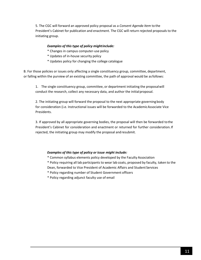5. The CGC will forward an approved policy proposal as a *Consent Agenda Item* to the President's Cabinet for publication and enactment. The CGC will return rejected proposals to the initiating group.

#### *Examples of this type of policy mightinclude:*

- \* Changes in campus computer-use policy
- \* Updates of in-house security policy
- \* Updates policy for changing the college catalogue

B. For those policies or issues only affecting a single constituency group, committee, department, or falling within the purview of an existing committee, the path of approval would be asfollows:

1. The single constituency group, committee, or department initiating the proposalwill conduct the research, collect any necessary data, and author the initialproposal.

2. The initiating group will forward the proposal to the next appropriate governingbody for consideration (i.e. Instructional issues will be forwarded to the AcademicAssociate Vice Presidents.

3. If approved by all appropriate governing bodies, the proposal will then be forwarded tothe President's Cabinet for consideration and enactment or returned for further consideration.If rejected, the initiating group may modify the proposal andresubmit.

#### *Examples of this type of policy or issue might include:*

- \* Common syllabus elements policy developed by the Faculty Association
- \* Policy requiring all lab participants to wear lab coats, proposed by faculty, taken to the Dean, forwarded to Vice President of Academic Affairs and Student Services
- \* Policy regarding number of Student Government officers
- \* Policy regarding adjunct faculty use of email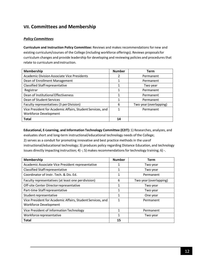## **VII. Committees and Membership**

## *Policy Committees*

**Curriculum and Instruction Policy Committee:** Reviews and makes recommendations for new and existing curriculum/courses of the College (including workforce offerings). Reviews proposalsfor curriculum changes and provide leadership for developing and reviewing policies and procedures that relate to curriculum andinstruction.

| Membership                                                 | <b>Number</b> | <b>Term</b>            |
|------------------------------------------------------------|---------------|------------------------|
| <b>Academic Division Associate Vice Presidents</b>         | 2             | Permanent              |
| Dean of Enrollment Management                              |               | Permanent              |
| <b>Classified Staff representative</b>                     |               | Two year               |
| Registrar                                                  |               | Permanent              |
| Dean of Institutional Effectiveness                        |               | Permanent              |
| Dean of Student Services                                   | 1             | Permanent              |
| Faculty representatives (3 per Division)                   | 6             | Two year (overlapping) |
| Vice President for Academic Affairs, Student Services, and |               | Permanent              |
| <b>Workforce Development</b>                               |               |                        |
| <b>Total</b>                                               | 14            |                        |

**Educational, E-Learning, and Information Technology Committee (E2IT):** 1) Researches, analyzes, and evaluates short and long-term instructional/educational technology needs of the College; 2) serves as a conduit for promoting innovative and best practice methods in the useof instructional/educational technology; 3) produces policy regarding Distance Education, and technology issues directly impacting instruction;  $4$ ) -; 5) makes recommendations for technology training; 6) -.

| Membership                                                                                 | <b>Number</b> | Term                   |
|--------------------------------------------------------------------------------------------|---------------|------------------------|
| Academic Associate Vice President representative                                           |               | Two year               |
| <b>Classified Staff representative</b>                                                     | 1             | Two year               |
| Coordinator of Instr. Tech. & Dis. Ed.                                                     | 1             | Permanent              |
| Faculty representatives (at least one perdivision)                                         | 6             | Two year (overlapping) |
| Off-site Center Director representative                                                    | 1             | Two year               |
| Part-time Staff representative                                                             | 1             | Two year               |
| Student representative                                                                     | 1             | One year               |
| Vice President for Academic Affairs, Student Services, and<br><b>Workforce Development</b> | 1             | Permanent              |
| Vice President of Information Technology                                                   | 1             | Permanent              |
| Workforce representative                                                                   | 1             | Two year               |
| <b>Total</b>                                                                               | 15            |                        |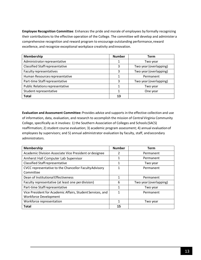**Employee Recognition Committee**: Enhances the pride and morale of employees by formally recognizing their contributions to the effective operation of the College. The committee will develop and administer a comprehensive recognition and reward program to encourage outstanding performance,reward excellence, and recognize exceptional workplace creativity andinnovation.

| Membership                             | <b>Number</b> | Term                   |
|----------------------------------------|---------------|------------------------|
| Administrator representative           |               | Two year               |
| <b>Classified Staff representative</b> | 3             | Two year (overlapping) |
| Faculty representatives                | 3             | Two year (overlapping) |
| Human Resources representative         |               | Permanent              |
| Part-time Staff representative         | 3             | Two year (overlapping) |
| <b>Public Relations representative</b> |               | Two year               |
| Student representative                 |               | One year               |
| <b>Total</b>                           | 13            |                        |

**Evaluation and Assessment Committee:** Provides advice and supports in the effective collection and use of information, data, evaluation, and research to accomplish the mission of Central Virginia Community College, specifically as it involves: 1) the Southern Association of Colleges and Schools(SACS) reaffirmation; 2) student course evaluation; 3) academic program assessment; 4) annual evaluationof employees by supervisors; and 5) annual administrator evaluation by faculty, staff, andsecondary administrators.

| <b>Membership</b>                                          | <b>Number</b> | Term                   |
|------------------------------------------------------------|---------------|------------------------|
| Academic Division Associate Vice President or designee     | 2             | Permanent              |
| Amherst Hall Computer Lab Supervisor                       | 1             | Permanent              |
| <b>Classified Staff representative</b>                     | 1             | Two year               |
| CVCC representative to the Chancellor Faculty Advisory     | 1             | Permanent              |
| Committee                                                  |               |                        |
| Dean of Institutional Effectiveness                        | 1             | Permanent              |
| Faculty representative (at least one perdivision)          | 6             | Two year (overlapping) |
| Part-time Staff representative                             | 1             | Two year               |
| Vice President for Academic Affairs, Student Services, and | 1             | Permanent              |
| <b>Workforce Development</b>                               |               |                        |
| Workforce representation                                   | 1             | Two year               |
| <b>Total</b>                                               | 15            |                        |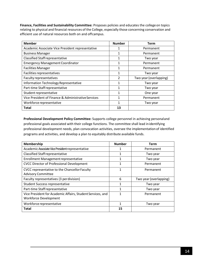**Finance, Facilities and Sustainability Committee:** Proposes policies and educates the collegeon topics relating to physical and financial resources of the College, especially those concerning conservation and efficient use of natural resources both on and offcampus.

| <b>Member</b>                                       | <b>Number</b> | <b>Term</b>            |
|-----------------------------------------------------|---------------|------------------------|
| Academic Associate Vice President representative    |               | Permanent              |
| <b>Business Manager</b>                             |               | Permanent              |
| <b>Classified Staff representative</b>              | 1             | Two year               |
| <b>Emergency Management Coordinator</b>             | 1             | Permanent              |
| <b>Facilities Manager</b>                           | 1             | Permanent              |
| Facilities representatives                          | 1             | Two year               |
| Faculty representatives                             | 2             | Two year (overlapping) |
| Information Technology Representative               |               | Two year               |
| Part-time Staff representative                      | 1             | Two year               |
| Student representative                              | 1             | One year               |
| Vice President of Finance & Administrative Services | 1             | Permanent              |
| Workforce representative                            | 1             | Two year               |
| <b>Total</b>                                        | 13            |                        |

**Professional Development Policy Committee:** Supports college personnel in achieving personaland professional goals associated with their college functions. The committee shall lead inidentifying professional development needs, plan convocation activities, oversee the implementation of identified programs and activities, and develop a plan to equitably distribute available funds.

| Membership                                                 | <b>Number</b> | <b>Term</b>            |
|------------------------------------------------------------|---------------|------------------------|
| Academic Associate Vice President representative           | 1             | Permanent              |
| <b>Classified Staff representative</b>                     | 1             | Two year               |
| <b>Enrollment Management representative</b>                | 1             | Two year               |
| <b>CVCC Director of Professional Development</b>           | 1             | Permanent              |
| CVCC representative to the Chancellor Faculty              | 1             | Permanent              |
| <b>Advisory Committee</b>                                  |               |                        |
| Faculty representatives (3 perdivision)                    | 6             | Two year (overlapping) |
| <b>Student Success representative</b>                      | 1             | Two year               |
| Part-time Staff representative                             | 1             | Two year               |
| Vice President for Academic Affairs, Student Services, and |               | Permanent              |
| <b>Workforce Development</b>                               |               |                        |
| Workforce representative                                   | 1             | Two year               |
| <b>Total</b>                                               | 15            |                        |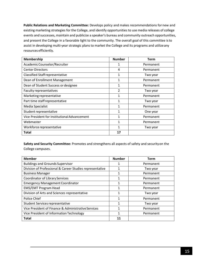**Public Relations and Marketing Committee:** Develops policy and makes recommendations for new and existing marketing strategies for the College, and identify opportunities to use media releases of college events and successes, maintain and publicize a speaker's bureau and community outreach opportunities, and present the College in a favorable light to the community. The overall goal of this committee isto assist in developing multi-year strategic plans to market the College and its programs and utilizeany resources efficiently.

| Membership                                   | <b>Number</b>  | Term      |
|----------------------------------------------|----------------|-----------|
| Academic Counselor/Recruiter                 |                | Permanent |
| <b>Center Directors</b>                      | 4              | Permanent |
| <b>Classified Staff representative</b>       |                | Two year  |
| Dean of Enrollment Management                | $\mathbf{1}$   | Permanent |
| Dean of Student Success or designee          |                | Permanent |
| Faculty representatives                      | $\mathfrak{p}$ | Two year  |
| Marketing representative                     |                | Permanent |
| Part time staff representative               | $\mathbf{1}$   | Two year  |
| Media Specialist                             | 1              | Permanent |
| Student representative                       | 1              | One year  |
| Vice President for Institutional Advancement | 1              | Permanent |
| Webmaster                                    |                | Permanent |
| Workforce representative                     | 1              | Two year  |
| Total                                        | 17             |           |

**Safety and Security Committee:** Promotes and strengthens all aspects of safety and securityon the College campuses.

| <b>Member</b>                                            | <b>Number</b> | <b>Term</b> |
|----------------------------------------------------------|---------------|-------------|
| <b>Buildings and Grounds Supervisor</b>                  |               | Permanent   |
| Division of Professional & Career Studies representative |               | Two year    |
| <b>Business Manager</b>                                  | 1             | Permanent   |
| <b>Coordinator of Library Services</b>                   |               | Permanent   |
| <b>Emergency Management Coordinator</b>                  | 1             | Permanent   |
| <b>EMS/EMT Program Head</b>                              | 1             | Permanent   |
| Division of Arts and Sciences representative             |               | Two year    |
| Police Chief                                             | 1             | Permanent   |
| Student Services representative                          |               | Two year    |
| Vice President of Finance & Administrative Services      |               | Permanent   |
| Vice President of Information Technology                 |               | Permanent   |
| <b>Total</b>                                             | 11            |             |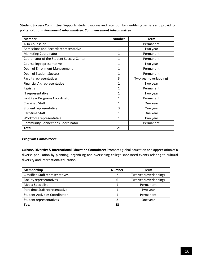**Student Success Committee:** Supports student success and retention by identifying barriers and providing policy solutions. *Permanent subcommittee: CommencementSubcommittee*

| <b>Member</b>                             | <b>Number</b> | <b>Term</b>            |
|-------------------------------------------|---------------|------------------------|
| <b>ADA Counselor</b>                      | 1             | Permanent              |
| Admissions and Records representative     | 1             | Two year               |
| <b>Marketing Coordinator</b>              | 1             | Permanent              |
| Coordinator of the Student Success Center | 1             | Permanent              |
| Counseling representative                 | 1             | Two year               |
| Dean of Enrollment Management             | 1             | Permanent              |
| Dean of Student Success                   | 1             | Permanent              |
| Faculty representatives                   | 3             | Two year (overlapping) |
| Financial Aid representative              | 1             | Two year               |
| Registrar                                 | 1             | Permanent              |
| IT representative                         | 1             | Two year               |
| First Year Programs Coordinator           | 1             | Permanent              |
| <b>Classified Staff</b>                   | 1             | One Year               |
| Student representative                    | 3             | One year               |
| Part-time Staff                           | 1             | One Year               |
| Workforce representative                  | 1             | Two year               |
| <b>Community Connections Coordinator</b>  | 1             | Permanent              |
| <b>Total</b>                              | 21            |                        |

## *Program Committees*

**Culture, Diversity & International Education Committee:** Promotes global education and appreciation of a diverse population by planning, organizing and overseeing college-sponsored events relating to cultural diversity and internationaleducation.

| Membership                              | <b>Number</b> | <b>Term</b>            |
|-----------------------------------------|---------------|------------------------|
| <b>Classified Staff representatives</b> | 2             | Two year (overlapping) |
| Faculty representatives                 | 6             | Two year (overlapping) |
| Media Specialist                        | 1             | Permanent              |
| Part-time Staff representative          |               | Two year               |
| <b>Student Activities Coordinator</b>   |               | Permanent              |
| Student representatives                 | າ             | One year               |
| <b>Total</b>                            | 13            |                        |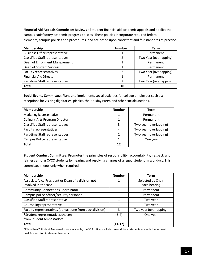**Financial Aid Appeals Committee**: Reviews all student financial aid academic appeals and appliesthe campus satisfactory academic progress policies. These policies incorporate required federal elements, campus policies and procedures, and are based upon consistent and fair standards of practice.

| <b>Membership</b>                       | <b>Number</b>  | Term                   |
|-----------------------------------------|----------------|------------------------|
| <b>Business Office representative</b>   |                | Permanent              |
| <b>Classified Staff representatives</b> | 2              | Two Year (overlapping) |
| Dean of Enrollment Management           |                | Permanent              |
| Dean of Student Success                 |                | Permanent              |
| Faculty representatives                 | $\mathfrak{p}$ | Two Year (overlapping) |
| <b>Financial Aid Director</b>           |                | Permanent              |
| Part-time Staff representatives         | $\mathfrak{p}$ | Two Year (overlapping) |
| <b>Total</b>                            | 10             |                        |

**Social Events Committee:** Plans and implements social activities for college employees such as: receptions for visiting dignitaries, picnics, the Holiday Party, and other socialfunctions.

| Membership                              | <b>Number</b> | Term                   |
|-----------------------------------------|---------------|------------------------|
| Marketing Representative                |               | Permanent              |
| <b>Culinary Arts Program Director</b>   |               | Permanent              |
| <b>Classified Staff representatives</b> | 3             | Two year (overlapping) |
| <b>Faculty representatives</b>          | 4             | Two year (overlapping) |
| Part-time Staff representatives         |               | Two year (overlapping) |
| Campus Police representative            |               | One year               |
| <b>Total</b>                            | 12            |                        |

**Student Conduct Committee:** Promotes the principles of responsibility, accountability, respect, and fairness among CVCC students by hearing and resolving charges of alleged student misconduct. This committee meets only when required.

| Membership                                                | <b>Number</b> | Term                   |
|-----------------------------------------------------------|---------------|------------------------|
| Associate Vice President or Dean of a division not        |               | Selected by Chair      |
| involved in the case                                      |               | each hearing           |
| <b>Community Connections Coordinator</b>                  |               | Permanent              |
| Campus police officer/security personnel                  | 1             | Permanent              |
| <b>Classified Staff representative</b>                    | 1             | Two year               |
| Counseling representative                                 | 1             | Two year               |
| Faculty representatives (at least one from each division) | 3             | Two year (overlapping) |
| *Student representatives chosen                           | $(3-4)$       | One year               |
| from Student Ambassadors                                  |               |                        |
| <b>Total</b>                                              | (11-12)       |                        |

\*If lessthan 7 Student Ambassadors are available, the SGA officers will choose additional students as needed who meet qualifications for StudentAmbassador.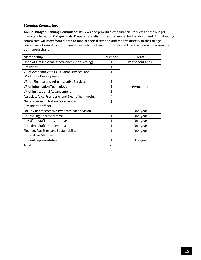## *Standing Committee:*

**Annual Budget Planning Committee**: Reviews and prioritizes the financial requests of thebudget managers based on College goals. Prepares and distributes the annual budget document. This standing committee will meet from March to June at their discretion and reports directly to theCollege Governance Council. For this committee only the Dean of Institutional Effectiveness will serve as the permanent chair.

| <b>Membership</b>                                | <b>Number</b> | <b>Term</b>            |
|--------------------------------------------------|---------------|------------------------|
| Dean of Institutional Effectiveness (non-voting) | 1             | <b>Permanent Chair</b> |
| President                                        | 1             |                        |
| VP of Academic Affairs, Student Services, and    | 1             |                        |
| <b>Workforce Development</b>                     |               |                        |
| VP for Finance and Administrative Services       | 1             |                        |
| VP of Information Technology                     | 1             | Permanent              |
| VP of Institutional Advancement                  | 1             |                        |
| Associate Vice Presidents and Deans (non-voting) | 4             |                        |
| <b>General Administration Coordinator</b>        | 1             |                        |
| (President's office)                             |               |                        |
| Faculty Representative two from each division    | 4             | One-year               |
| <b>Counseling Representative</b>                 | 1             | One-year               |
| <b>Classified Staff representative</b>           | 1             | One-year               |
| Part-time Staff representative                   | 1             | One-year               |
| Finance, Facilities, and Sustainability          | 1             | One-year               |
| <b>Committee Member</b>                          |               |                        |
| Student representative                           | 1             | One-year               |
| <b>Total</b>                                     | 20            |                        |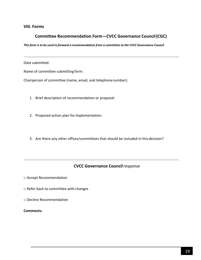## **VIII. Forms**

## **Committee Recommendation Form—CVCC Governance Council(CGC)**

This form is to be used to forward a recommendation from a committee to the CVCC Governance Council

Date submitted:

Name of committee submitting form:

Chairperson of committee (name, email, and telephonenumber):

- 1. Brief description of recommendation or proposal:
- 2. Proposed action plan forimplementation:
- 3. Are there any other offices/committees that should be included in thisdecision?

## **CVCC Governance Council***response*

□ Accept Recommendation

- □ Refer back to committee with changes
- □ Decline Recommendation

#### **Comments:**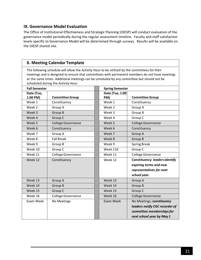## **IX. Governance Model Evaluation**

The Office of Institutional Effectiveness and Strategic Planning (OIESP) will conduct evaluation of the governance model periodically during the regular assessment timeline. Faculty and staff satisfaction levels specific to Governance Model will be determined through surveys. Results will be available on the OIESP shared site.

## **X. Meeting Calendar Template**

The following schedule will allow the Activity Hour to be utilized by the committees fortheir meetings and is designed to ensure that committees with permanent members do not have meetings at the same times. Additional meetings can be scheduled by any committee but should not be scheduled during the Activity Hour.

| <b>Fall Semester</b> |                           |  | <b>Spring Semester</b> |                                       |
|----------------------|---------------------------|--|------------------------|---------------------------------------|
| Date (Tue,           |                           |  | Date (Tue, 1:00        |                                       |
| 1:00 PM)             | <b>Committee Group</b>    |  | PM)                    | <b>Committee Group</b>                |
| Week 1               | Constituency              |  | Week 1                 | Constituency                          |
| Week 2               | Group A                   |  | Week 2                 | Group A                               |
| Week 3               | Group B                   |  | Week 3                 | Group B                               |
| Week 4               | Group C                   |  | Week 4                 | Group C                               |
| Week 5               | College Governance        |  | Week 5                 | <b>College Governance</b>             |
| Week 6               | Constituency              |  | Week 6                 | Constituency                          |
| Week 7               | Group A                   |  | Week 7                 | Group A                               |
| Week 8               | <b>Fall Break</b>         |  | Week 8                 | Group B                               |
| Week 9               | Group B                   |  | Week 9                 | <b>Spring Break</b>                   |
| Week 10              | Group C                   |  | <b>Week 110</b>        | Group C                               |
| Week 11              | <b>College Governance</b> |  | Week 11                | <b>College Governance</b>             |
| Week 12              | Constituency              |  | Week 12                | <b>Constituency: leaders identify</b> |
|                      |                           |  |                        | expiring terms and new                |
|                      |                           |  |                        | representatives for next              |
|                      |                           |  |                        | school year.                          |
| Week 13              | Group A                   |  | Week 13                | Group A                               |
| Week 14              | Group B                   |  | Week 14                | Group B                               |
| Week 15              | Group C                   |  | Week 15                | Group C                               |
| Week 16              | <b>College Governance</b> |  | Week 16                | <b>College Governance</b>             |
| Exam Week            | No Meetings               |  | Exam Week              | No Meetings; constituency             |
|                      |                           |  |                        | leaders notify CGC recorder of        |
|                      |                           |  |                        | committee memberships for             |
|                      |                           |  |                        | next school year by May 1             |